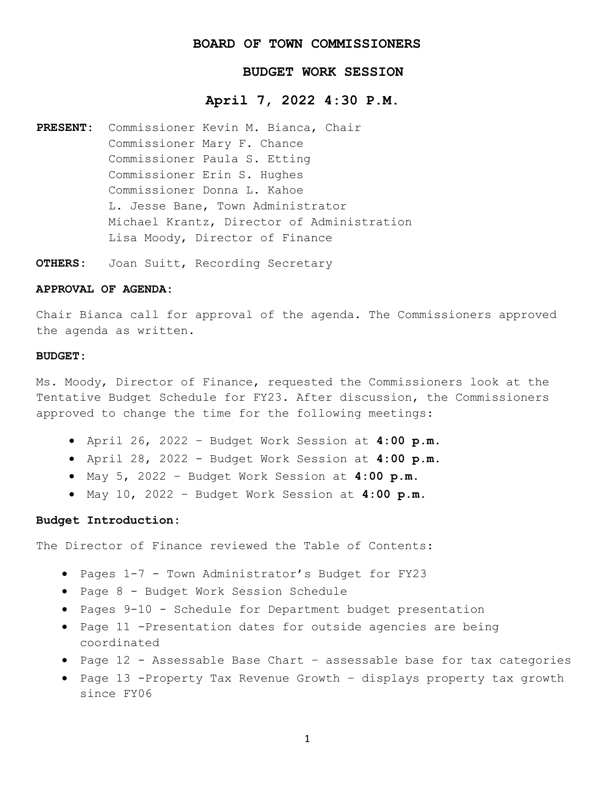## **BOARD OF TOWN COMMISSIONERS**

# **BUDGET WORK SESSION**

# **April 7, 2022 4:30 P.M.**

- **PRESENT:** Commissioner Kevin M. Bianca, Chair Commissioner Mary F. Chance Commissioner Paula S. Etting Commissioner Erin S. Hughes Commissioner Donna L. Kahoe L. Jesse Bane, Town Administrator Michael Krantz, Director of Administration Lisa Moody, Director of Finance
- **OTHERS:** Joan Suitt, Recording Secretary

#### **APPROVAL OF AGENDA:**

Chair Bianca call for approval of the agenda. The Commissioners approved the agenda as written.

#### **BUDGET:**

Ms. Moody, Director of Finance, requested the Commissioners look at the Tentative Budget Schedule for FY23. After discussion, the Commissioners approved to change the time for the following meetings:

- April 26, 2022 Budget Work Session at **4:00 p.m.**
- April 28, 2022 Budget Work Session at **4:00 p.m**.
- May 5, 2022 Budget Work Session at **4:00 p.m**.
- May 10, 2022 Budget Work Session at **4:00 p.m**.

## **Budget Introduction:**

The Director of Finance reviewed the Table of Contents:

- Pages 1-7 Town Administrator's Budget for FY23
- Page 8 Budget Work Session Schedule
- Pages 9-10 Schedule for Department budget presentation
- Page 11 -Presentation dates for outside agencies are being coordinated
- Page 12 Assessable Base Chart assessable base for tax categories
- Page 13 -Property Tax Revenue Growth displays property tax growth since FY06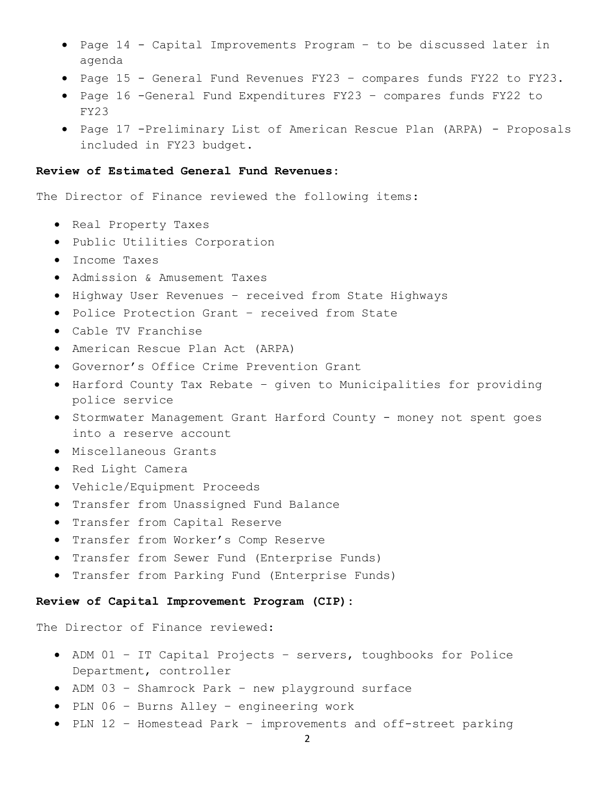- Page 14 Capital Improvements Program to be discussed later in agenda
- Page 15 General Fund Revenues FY23 compares funds FY22 to FY23.
- Page 16 -General Fund Expenditures FY23 compares funds FY22 to FY23
- Page 17 -Preliminary List of American Rescue Plan (ARPA) Proposals included in FY23 budget.

## **Review of Estimated General Fund Revenues:**

The Director of Finance reviewed the following items:

- Real Property Taxes
- Public Utilities Corporation
- Income Taxes
- Admission & Amusement Taxes
- Highway User Revenues received from State Highways
- Police Protection Grant received from State
- Cable TV Franchise
- American Rescue Plan Act (ARPA)
- Governor's Office Crime Prevention Grant
- Harford County Tax Rebate given to Municipalities for providing police service
- Stormwater Management Grant Harford County money not spent goes into a reserve account
- Miscellaneous Grants
- Red Light Camera
- Vehicle/Equipment Proceeds
- Transfer from Unassigned Fund Balance
- Transfer from Capital Reserve
- Transfer from Worker's Comp Reserve
- Transfer from Sewer Fund (Enterprise Funds)
- Transfer from Parking Fund (Enterprise Funds)

### **Review of Capital Improvement Program (CIP):**

The Director of Finance reviewed:

- ADM 01 IT Capital Projects servers, toughbooks for Police Department, controller
- ADM 03 Shamrock Park new playground surface
- PLN 06 Burns Alley engineering work
- PLN 12 Homestead Park improvements and off-street parking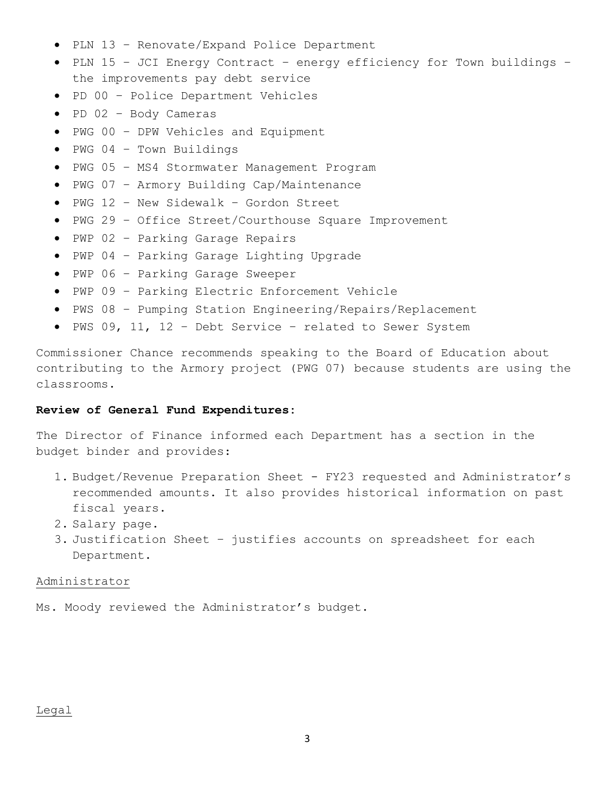- PLN 13 Renovate/Expand Police Department
- PLN 15 JCI Energy Contract energy efficiency for Town buildings the improvements pay debt service
- PD 00 Police Department Vehicles
- PD 02 Body Cameras
- PWG 00 DPW Vehicles and Equipment
- PWG 04 Town Buildings
- PWG 05 MS4 Stormwater Management Program
- PWG 07 Armory Building Cap/Maintenance
- PWG 12 New Sidewalk Gordon Street
- PWG 29 Office Street/Courthouse Square Improvement
- PWP 02 Parking Garage Repairs
- PWP 04 Parking Garage Lighting Upgrade
- PWP 06 Parking Garage Sweeper
- PWP 09 Parking Electric Enforcement Vehicle
- PWS 08 Pumping Station Engineering/Repairs/Replacement
- PWS 09, 11, 12 Debt Service related to Sewer System

Commissioner Chance recommends speaking to the Board of Education about contributing to the Armory project (PWG 07) because students are using the classrooms.

### **Review of General Fund Expenditures:**

The Director of Finance informed each Department has a section in the budget binder and provides:

- 1. Budget/Revenue Preparation Sheet FY23 requested and Administrator's recommended amounts. It also provides historical information on past fiscal years.
- 2. Salary page.
- 3. Justification Sheet justifies accounts on spreadsheet for each Department.

#### Administrator

Ms. Moody reviewed the Administrator's budget.

## Legal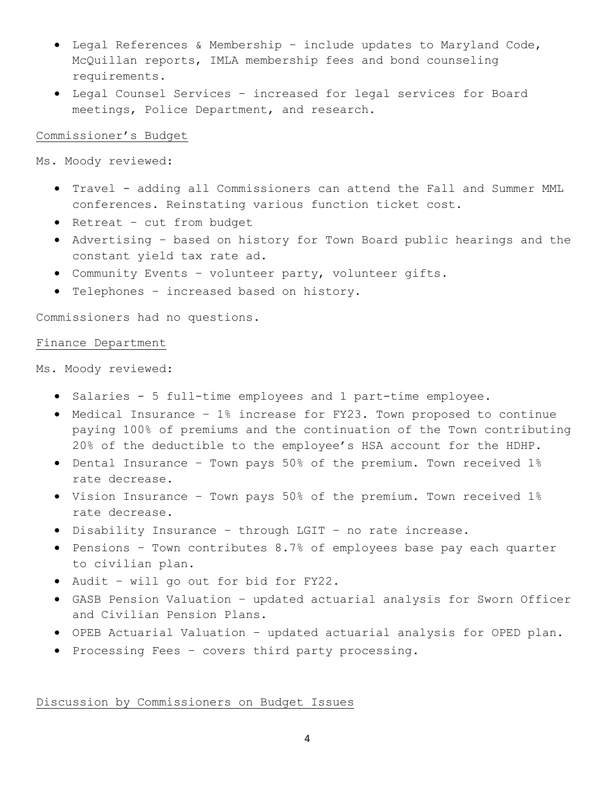- Legal References & Membership include updates to Maryland Code, McQuillan reports, IMLA membership fees and bond counseling requirements.
- Legal Counsel Services increased for legal services for Board meetings, Police Department, and research.

## Commissioner's Budget

Ms. Moody reviewed:

- Travel adding all Commissioners can attend the Fall and Summer MML conferences. Reinstating various function ticket cost.
- Retreat cut from budget
- Advertising based on history for Town Board public hearings and the constant yield tax rate ad.
- Community Events volunteer party, volunteer gifts.
- Telephones increased based on history.

Commissioners had no questions.

### Finance Department

Ms. Moody reviewed:

- Salaries 5 full-time employees and 1 part-time employee.
- Medical Insurance 1% increase for FY23. Town proposed to continue paying 100% of premiums and the continuation of the Town contributing 20% of the deductible to the employee's HSA account for the HDHP.
- Dental Insurance Town pays 50% of the premium. Town received 1% rate decrease.
- Vision Insurance Town pays 50% of the premium. Town received 1% rate decrease.
- Disability Insurance through LGIT no rate increase.
- Pensions Town contributes 8.7% of employees base pay each quarter to civilian plan.
- Audit will go out for bid for FY22.
- GASB Pension Valuation updated actuarial analysis for Sworn Officer and Civilian Pension Plans.
- OPEB Actuarial Valuation updated actuarial analysis for OPED plan.
- Processing Fees covers third party processing.

Discussion by Commissioners on Budget Issues